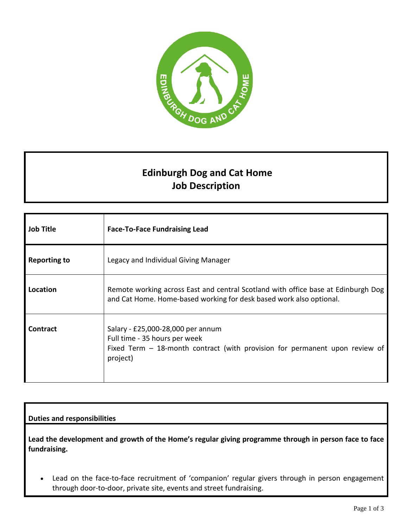

## **Edinburgh Dog and Cat Home Job Description**

| <b>Job Title</b>    | <b>Face-To-Face Fundraising Lead</b>                                                                                                                            |
|---------------------|-----------------------------------------------------------------------------------------------------------------------------------------------------------------|
| <b>Reporting to</b> | Legacy and Individual Giving Manager                                                                                                                            |
| Location            | Remote working across East and central Scotland with office base at Edinburgh Dog<br>and Cat Home. Home-based working for desk based work also optional.        |
| <b>Contract</b>     | Salary - £25,000-28,000 per annum<br>Full time - 35 hours per week<br>Fixed Term $-$ 18-month contract (with provision for permanent upon review of<br>project) |

## **Duties and responsibilities**

**Lead the development and growth of the Home's regular giving programme through in person face to face fundraising.**

• Lead on the face-to-face recruitment of 'companion' regular givers through in person engagement through door-to-door, private site, events and street fundraising.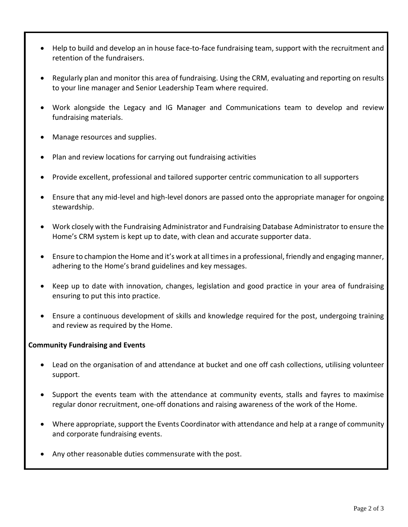- Help to build and develop an in house face-to-face fundraising team, support with the recruitment and retention of the fundraisers.
- Regularly plan and monitor this area of fundraising. Using the CRM, evaluating and reporting on results to your line manager and Senior Leadership Team where required.
- Work alongside the Legacy and IG Manager and Communications team to develop and review fundraising materials.
- Manage resources and supplies.
- Plan and review locations for carrying out fundraising activities
- Provide excellent, professional and tailored supporter centric communication to all supporters
- Ensure that any mid-level and high-level donors are passed onto the appropriate manager for ongoing stewardship.
- Work closely with the Fundraising Administrator and Fundraising Database Administrator to ensure the Home's CRM system is kept up to date, with clean and accurate supporter data.
- Ensure to champion the Home and it's work at all timesin a professional, friendly and engaging manner, adhering to the Home's brand guidelines and key messages.
- Keep up to date with innovation, changes, legislation and good practice in your area of fundraising ensuring to put this into practice.
- Ensure a continuous development of skills and knowledge required for the post, undergoing training and review as required by the Home.

## **Community Fundraising and Events**

- Lead on the organisation of and attendance at bucket and one off cash collections, utilising volunteer support.
- Support the events team with the attendance at community events, stalls and fayres to maximise regular donor recruitment, one-off donations and raising awareness of the work of the Home.
- Where appropriate, support the Events Coordinator with attendance and help at a range of community and corporate fundraising events.
- Any other reasonable duties commensurate with the post.